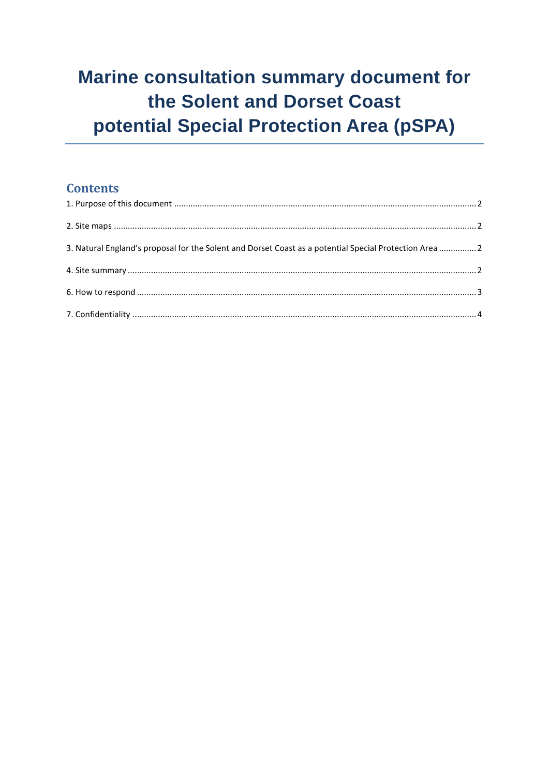# **Marine consultation summary document for** the Solent and Dorset Coast potential Special Protection Area (pSPA)

# **Contents**

| 3. Natural England's proposal for the Solent and Dorset Coast as a potential Special Protection Area 2 |  |
|--------------------------------------------------------------------------------------------------------|--|
|                                                                                                        |  |
|                                                                                                        |  |
|                                                                                                        |  |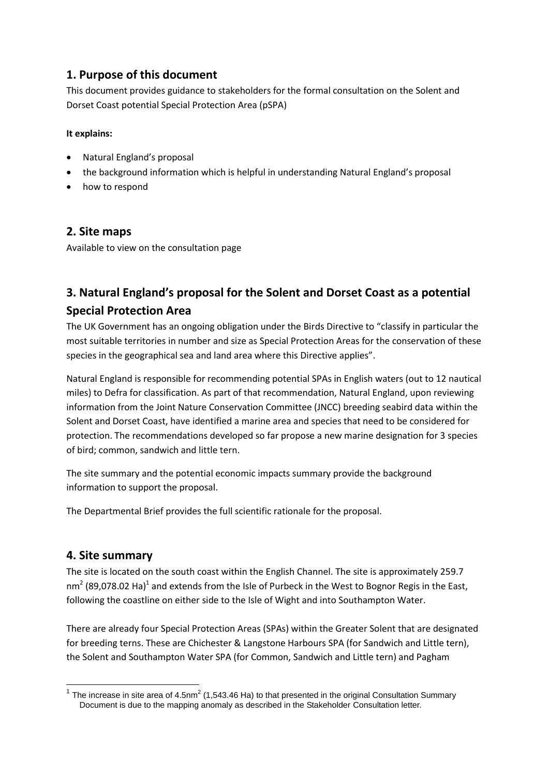# <span id="page-1-0"></span>**1. Purpose of this document**

This document provides guidance to stakeholders for the formal consultation on the Solent and Dorset Coast potential Special Protection Area (pSPA)

#### **It explains:**

- Natural England's proposal
- the background information which is helpful in understanding Natural England's proposal
- how to respond

#### <span id="page-1-1"></span>**2. Site maps**

Available to view on the consultation page

# <span id="page-1-2"></span>**3. Natural England's proposal for the Solent and Dorset Coast as a potential Special Protection Area**

The UK Government has an ongoing obligation under the Birds Directive to "classify in particular the most suitable territories in number and size as Special Protection Areas for the conservation of these species in the geographical sea and land area where this Directive applies".

Natural England is responsible for recommending potential SPAs in English waters (out to 12 nautical miles) to Defra for classification. As part of that recommendation, Natural England, upon reviewing information from the Joint Nature Conservation Committee (JNCC) breeding seabird data within the Solent and Dorset Coast, have identified a marine area and species that need to be considered for protection. The recommendations developed so far propose a new marine designation for 3 species of bird; common, sandwich and little tern.

The site summary and the potential economic impacts summary provide the background information to support the proposal.

The Departmental Brief provides the full scientific rationale for the proposal.

#### <span id="page-1-3"></span>**4. Site summary**

The site is located on the south coast within the English Channel. The site is approximately 259.7 nm<sup>2</sup> (89,078.02 Ha)<sup>1</sup> and extends from the Isle of Purbeck in the West to Bognor Regis in the East, following the coastline on either side to the Isle of Wight and into Southampton Water.

There are already four Special Protection Areas (SPAs) within the Greater Solent that are designated for breeding terns. These are Chichester & Langstone Harbours SPA (for Sandwich and Little tern), the Solent and Southampton Water SPA (for Common, Sandwich and Little tern) and Pagham

<sup>————————————————————&</sup>lt;br><sup>1</sup> The increase in site area of 4.5nm<sup>2</sup> (1,543.46 Ha) to that presented in the original Consultation Summary Document is due to the mapping anomaly as described in the Stakeholder Consultation letter.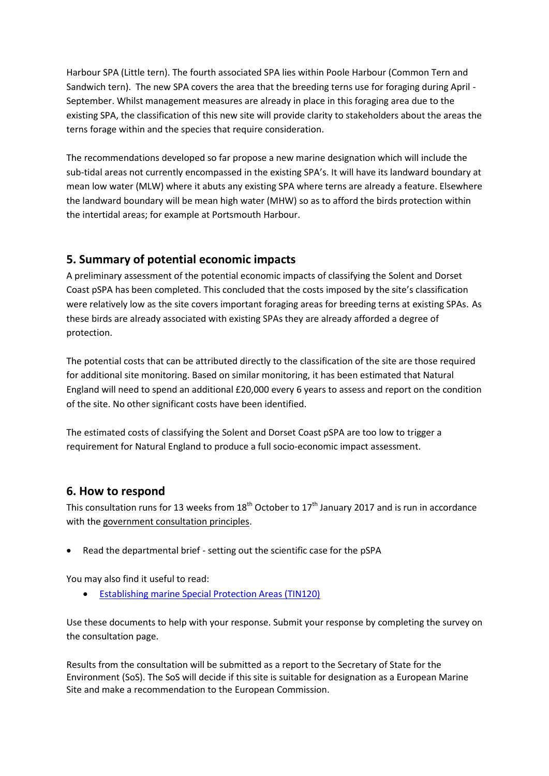Harbour SPA (Little tern). The fourth associated SPA lies within Poole Harbour (Common Tern and Sandwich tern). The new SPA covers the area that the breeding terns use for foraging during April - September. Whilst management measures are already in place in this foraging area due to the existing SPA, the classification of this new site will provide clarity to stakeholders about the areas the terns forage within and the species that require consideration.

The recommendations developed so far propose a new marine designation which will include the sub-tidal areas not currently encompassed in the existing SPA's. It will have its landward boundary at mean low water (MLW) where it abuts any existing SPA where terns are already a feature. Elsewhere the landward boundary will be mean high water (MHW) so as to afford the birds protection within the intertidal areas; for example at Portsmouth Harbour.

### **5. Summary of potential economic impacts**

A preliminary assessment of the potential economic impacts of classifying the Solent and Dorset Coast pSPA has been completed. This concluded that the costs imposed by the site's classification were relatively low as the site covers important foraging areas for breeding terns at existing SPAs. As these birds are already associated with existing SPAs they are already afforded a degree of protection.

The potential costs that can be attributed directly to the classification of the site are those required for additional site monitoring. Based on similar monitoring, it has been estimated that Natural England will need to spend an additional £20,000 every 6 years to assess and report on the condition of the site. No other significant costs have been identified.

The estimated costs of classifying the Solent and Dorset Coast pSPA are too low to trigger a requirement for Natural England to produce a full socio-economic impact assessment.

# <span id="page-2-0"></span>**6. How to respond**

This consultation runs for 13 weeks from  $18<sup>th</sup>$  October to  $17<sup>th</sup>$  January 2017 and is run in accordance with the [government consultation principles.](http://www.cabinetoffice.gov.uk/resource-library/consultation-principles-guidance)

Read the departmental brief - setting out the scientific case for the pSPA

You may also find it useful to read:

[Establishing marine Special Protection Areas \(TIN120\)](http://publications.naturalengland.org.uk/publication/1476400)

Use these documents to help with your response. Submit your response by completing the survey on the consultation page.

Results from the consultation will be submitted as a report to the Secretary of State for the Environment (SoS). The SoS will decide if this site is suitable for designation as a European Marine Site and make a recommendation to the European Commission.